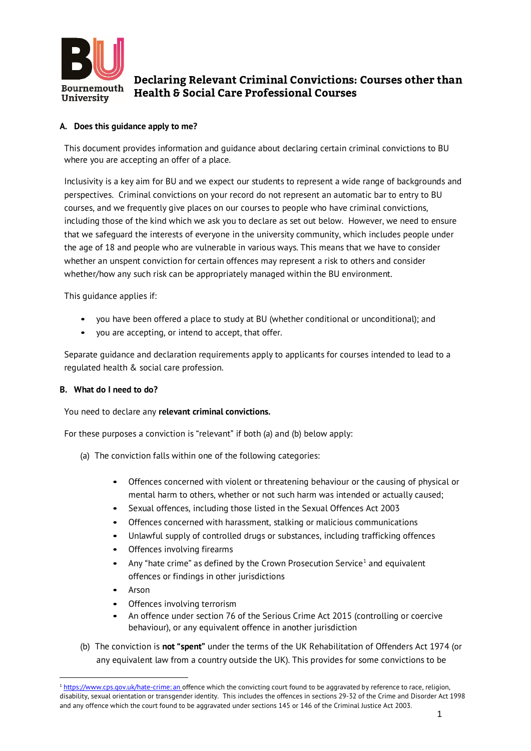

# **Declaring Relevant Criminal Convictions: Courses other than Health & Social Care Professional Courses**

## **A. Does this guidance apply to me?**

This document provides information and guidance about declaring certain criminal convictions to BU where you are accepting an offer of a place.

Inclusivity is a key aim for BU and we expect our students to represent a wide range of backgrounds and perspectives. Criminal convictions on your record do not represent an automatic bar to entry to BU courses, and we frequently give places on our courses to people who have criminal convictions, including those of the kind which we ask you to declare as set out below. However, we need to ensure that we safeguard the interests of everyone in the university community, which includes people under the age of 18 and people who are vulnerable in various ways. This means that we have to consider whether an unspent conviction for certain offences may represent a risk to others and consider whether/how any such risk can be appropriately managed within the BU environment.

This guidance applies if:

- you have been offered a place to study at BU (whether conditional or unconditional); and
- you are accepting, or intend to accept, that offer.

Separate guidance and declaration requirements apply to applicants for courses intended to lead to a regulated health & social care profession.

#### **B. What do I need to do?**

You need to declare any **relevant criminal convictions.**

For these purposes a conviction is "relevant" if both (a) and (b) below apply:

- (a) The conviction falls within one of the following categories:
	- Offences concerned with violent or threatening behaviour or the causing of physical or mental harm to others, whether or not such harm was intended or actually caused;
	- Sexual offences, including those listed in the Sexual Offences Act 2003
	- Offences concerned with harassment, stalking or malicious communications
	- Unlawful supply of controlled drugs or substances, including trafficking offences
	- Offences involving firearms
	- Any "hate crime" as defined by the Crown Prosecution Service<sup>1</sup> and equivalent offences or findings in other jurisdictions
	- Arson

- Offences involving terrorism
- An offence under section 76 of the Serious Crime Act 2015 (controlling or coercive behaviour), or any equivalent offence in another jurisdiction
- (b) The conviction is **not "spent"** under the terms of the UK Rehabilitation of Offenders Act 1974 (or any equivalent law from a country outside the UK). This provides for some convictions to be

<sup>&</sup>lt;sup>1</sup> https://www.cps.gov.uk/hate-crime: an offence which the convicting court found to be aggravated by reference to race, religion, disability, sexual orientation or transgender identity. This includes the offences in sections 29-32 of the Crime and Disorder Act 1998 and any offence which the court found to be aggravated under sections 145 or 146 of the Criminal Justice Act 2003.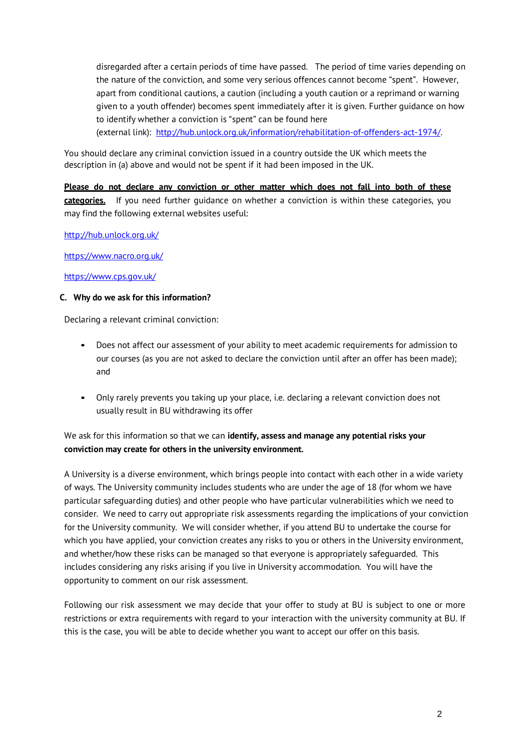disregarded after a certain periods of time have passed. The period of time varies depending on the nature of the conviction, and some very serious offences cannot become "spent". However, apart from conditional cautions, a caution (including a youth caution or a reprimand or warning given to a youth offender) becomes spent immediately after it is given. Further guidance on how to identify whether a conviction is "spent" can be found here (external link): http://hub.unlock.org.uk/information/rehabilitation-of-offenders-act-1974/.

You should declare any criminal conviction issued in a country outside the UK which meets the description in (a) above and would not be spent if it had been imposed in the UK.

**Please do not declare any conviction or other matter which does not fall into both of these categories.** If you need further guidance on whether a conviction is within these categories, you may find the following external websites useful:

http://hub.unlock.org.uk/

https://www.nacro.org.uk/

https://www.cps.gov.uk/

#### **C. Why do we ask for this information?**

Declaring a relevant criminal conviction:

- Does not affect our assessment of your ability to meet academic requirements for admission to our courses (as you are not asked to declare the conviction until after an offer has been made); and
- Only rarely prevents you taking up your place, i.e. declaring a relevant conviction does not usually result in BU withdrawing its offer

## We ask for this information so that we can **identify, assess and manage any potential risks your conviction may create for others in the university environment.**

A University is a diverse environment, which brings people into contact with each other in a wide variety of ways. The University community includes students who are under the age of 18 (for whom we have particular safeguarding duties) and other people who have particular vulnerabilities which we need to consider. We need to carry out appropriate risk assessments regarding the implications of your conviction for the University community. We will consider whether, if you attend BU to undertake the course for which you have applied, your conviction creates any risks to you or others in the University environment, and whether/how these risks can be managed so that everyone is appropriately safeguarded. This includes considering any risks arising if you live in University accommodation. You will have the opportunity to comment on our risk assessment.

Following our risk assessment we may decide that your offer to study at BU is subject to one or more restrictions or extra requirements with regard to your interaction with the university community at BU. If this is the case, you will be able to decide whether you want to accept our offer on this basis.